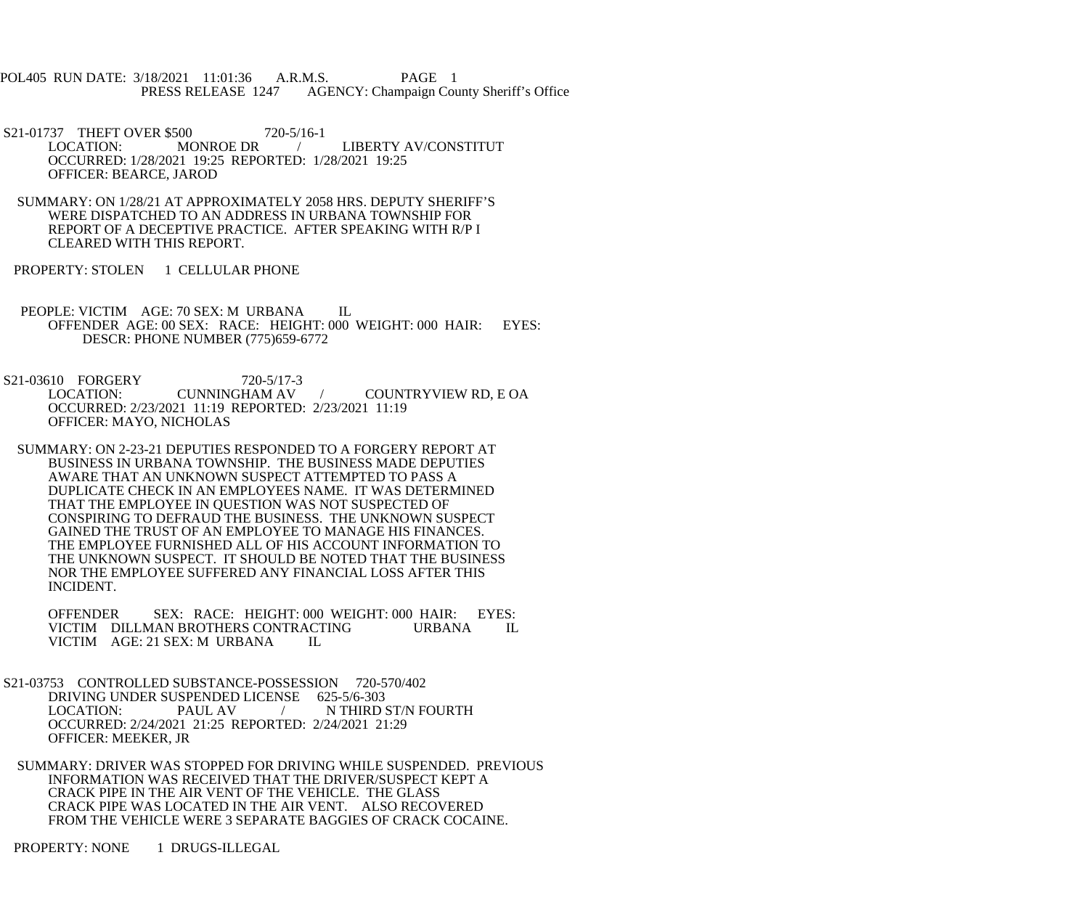POL405 RUN DATE: 3/18/2021 11:01:36 A.R.M.S. PAGE 1<br>PRESS RELEASE 1247 AGENCY: Champaign Cou AGENCY: Champaign County Sheriff's Office

S21-01737 THEFT OVER \$500 720-5/16-1<br>LOCATION: MONROE DR / LIBERTY AV/CONSTITUT OCCURRED: 1/28/2021 19:25 REPORTED: 1/28/2021 19:25 OFFICER: BEARCE, JAROD

- SUMMARY: ON 1/28/21 AT APPROXIMATELY 2058 HRS. DEPUTY SHERIFF'S WERE DISPATCHED TO AN ADDRESS IN URBANA TOWNSHIP FOR REPORT OF A DECEPTIVE PRACTICE. AFTER SPEAKING WITH R/P I CLEARED WITH THIS REPORT.
- PROPERTY: STOLEN 1 CELLULAR PHONE
- PEOPLE: VICTIM AGE: 70 SEX: M URBANA IL OFFENDER AGE: 00 SEX: RACE: HEIGHT: 000 WEIGHT: 000 HAIR: EYES: DESCR: PHONE NUMBER (775)659-6772

S21-03610 FORGERY 720-5/17-3<br>LOCATION: CUNNINGHAM AV / COUNTRYVIEW RD, E OA OCCURRED: 2/23/2021 11:19 REPORTED: 2/23/2021 11:19 OFFICER: MAYO, NICHOLAS

 SUMMARY: ON 2-23-21 DEPUTIES RESPONDED TO A FORGERY REPORT AT BUSINESS IN URBANA TOWNSHIP. THE BUSINESS MADE DEPUTIES AWARE THAT AN UNKNOWN SUSPECT ATTEMPTED TO PASS A DUPLICATE CHECK IN AN EMPLOYEES NAME. IT WAS DETERMINED THAT THE EMPLOYEE IN QUESTION WAS NOT SUSPECTED OF CONSPIRING TO DEFRAUD THE BUSINESS. THE UNKNOWN SUSPECT GAINED THE TRUST OF AN EMPLOYEE TO MANAGE HIS FINANCES. THE EMPLOYEE FURNISHED ALL OF HIS ACCOUNT INFORMATION TO THE UNKNOWN SUSPECT. IT SHOULD BE NOTED THAT THE BUSINESS NOR THE EMPLOYEE SUFFERED ANY FINANCIAL LOSS AFTER THIS INCIDENT.

 OFFENDER SEX: RACE: HEIGHT: 000 WEIGHT: 000 HAIR: EYES: VICTIM DILLMAN BROTHERS CONTRACTING URBANA IL VICTIM AGE: 21 SEX: M URBANA IL VICTIM AGE: 21 SEX: M URBANA

- S21-03753 CONTROLLED SUBSTANCE-POSSESSION 720-570/402 DRIVING UNDER SUSPENDED LICENSE 625-5/6-303 LOCATION: PAUL AV / N THIRD ST/N FOURTH OCCURRED: 2/24/2021 21:25 REPORTED: 2/24/2021 21:29 OFFICER: MEEKER, JR
- SUMMARY: DRIVER WAS STOPPED FOR DRIVING WHILE SUSPENDED. PREVIOUS INFORMATION WAS RECEIVED THAT THE DRIVER/SUSPECT KEPT A CRACK PIPE IN THE AIR VENT OF THE VEHICLE. THE GLASS CRACK PIPE WAS LOCATED IN THE AIR VENT. ALSO RECOVERED FROM THE VEHICLE WERE 3 SEPARATE BAGGIES OF CRACK COCAINE.

PROPERTY: NONE 1 DRUGS-ILLEGAL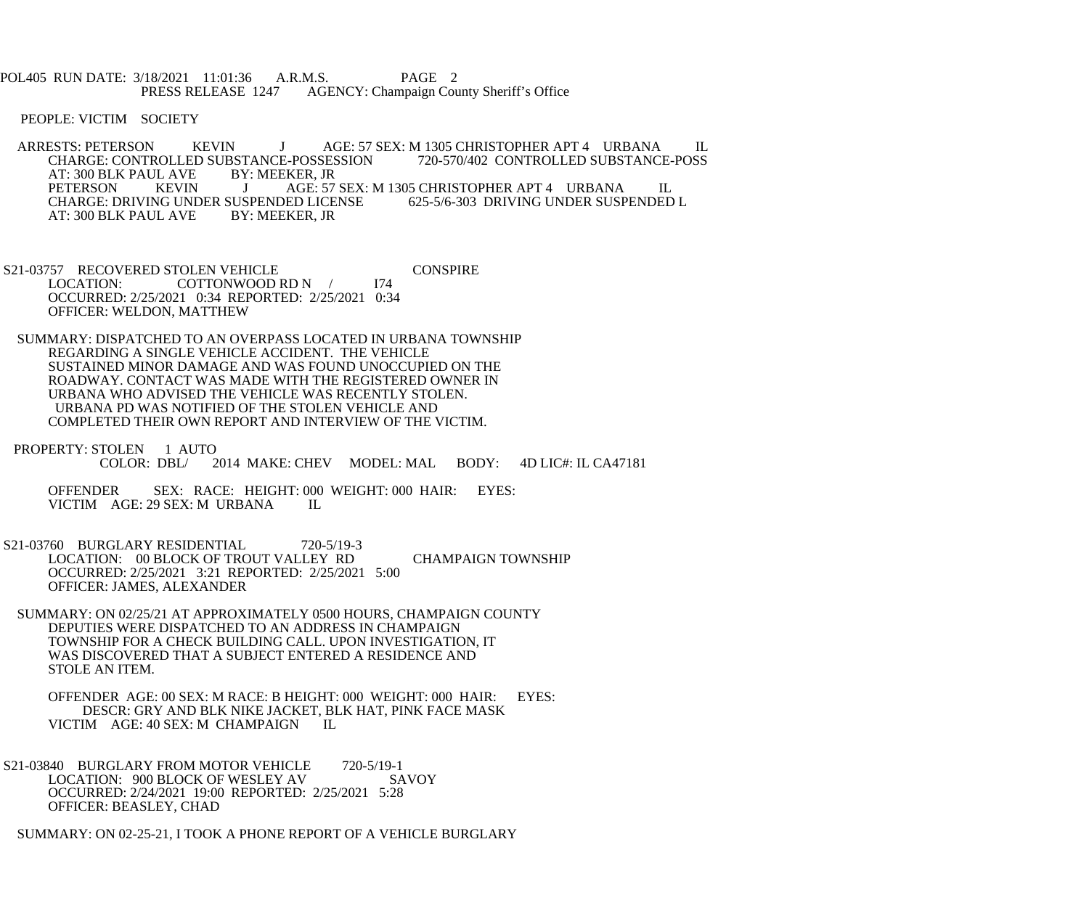POL405 RUN DATE: 3/18/2021 11:01:36 A.R.M.S. PAGE 2 PRESS RELEASE 1247 AGENCY: Champaign County Sheriff's Office

PEOPLE: VICTIM SOCIETY

ARRESTS: PETERSON KEVIN J AGE: 57 SEX: M 1305 CHRISTOPHER APT 4 URBANA IL CHARGE: CONTROLLED SUBSTANCE-POSSESSION 720-570/402 CONTROLLED SUBSTANCE-POSS CHARGE: CONTROLLED SUBSTANCE-POSSESSION<br>AT: 300 BLK PAUL AVE BY: MEEKER, JR AT: 300 BLK PAUL AVE BY:<br>PETERSON KEVIN J AGE: 57 SEX: M 1305 CHRISTOPHER APT 4 URBANA IL<br>ED LICENSE 625-5/6-303 DRIVING UNDER SUSPENDED L CHARGE: DRIVING UNDER SUSPENDED LICENSE<br>AT: 300 BLK PAUL AVE BY: MEEKER, JR AT: 300 BLK PAUL AVE

S21-03757 RECOVERED STOLEN VEHICLE CONSPIRE<br>LOCATION: COTTONWOOD RD N / 174 COTTONWOOD RD N / OCCURRED: 2/25/2021 0:34 REPORTED: 2/25/2021 0:34 OFFICER: WELDON, MATTHEW

 SUMMARY: DISPATCHED TO AN OVERPASS LOCATED IN URBANA TOWNSHIP REGARDING A SINGLE VEHICLE ACCIDENT. THE VEHICLE SUSTAINED MINOR DAMAGE AND WAS FOUND UNOCCUPIED ON THE ROADWAY. CONTACT WAS MADE WITH THE REGISTERED OWNER IN URBANA WHO ADVISED THE VEHICLE WAS RECENTLY STOLEN. URBANA PD WAS NOTIFIED OF THE STOLEN VEHICLE AND COMPLETED THEIR OWN REPORT AND INTERVIEW OF THE VICTIM.

PROPERTY: STOLEN 1 AUTO<br>COLOR: DBL/2 2014 MAKE: CHEV MODEL: MAL BODY: 4D LIC#: IL CA47181

 OFFENDER SEX: RACE: HEIGHT: 000 WEIGHT: 000 HAIR: EYES: VICTIM AGE: 29 SEX: M URBANA IL

 S21-03760 BURGLARY RESIDENTIAL 720-5/19-3 LOCATION: 00 BLOCK OF TROUT VALLEY RD CHAMPAIGN TOWNSHIP OCCURRED: 2/25/2021 3:21 REPORTED: 2/25/2021 5:00 OFFICER: JAMES, ALEXANDER

 SUMMARY: ON 02/25/21 AT APPROXIMATELY 0500 HOURS, CHAMPAIGN COUNTY DEPUTIES WERE DISPATCHED TO AN ADDRESS IN CHAMPAIGN TOWNSHIP FOR A CHECK BUILDING CALL. UPON INVESTIGATION, IT WAS DISCOVERED THAT A SUBJECT ENTERED A RESIDENCE AND STOLE AN ITEM.

 OFFENDER AGE: 00 SEX: M RACE: B HEIGHT: 000 WEIGHT: 000 HAIR: EYES: DESCR: GRY AND BLK NIKE JACKET, BLK HAT, PINK FACE MASK<br>IM AGE: 40 SEX: M. CHAMPAIGN II VICTIM AGE: 40 SEX: M CHAMPAIGN

S21-03840 BURGLARY FROM MOTOR VEHICLE 720-5/19-1<br>LOCATION: 900 BLOCK OF WESLEY AV SAVOY LOCATION: 900 BLOCK OF WESLEY AV OCCURRED: 2/24/2021 19:00 REPORTED: 2/25/2021 5:28 OFFICER: BEASLEY, CHAD

SUMMARY: ON 02-25-21, I TOOK A PHONE REPORT OF A VEHICLE BURGLARY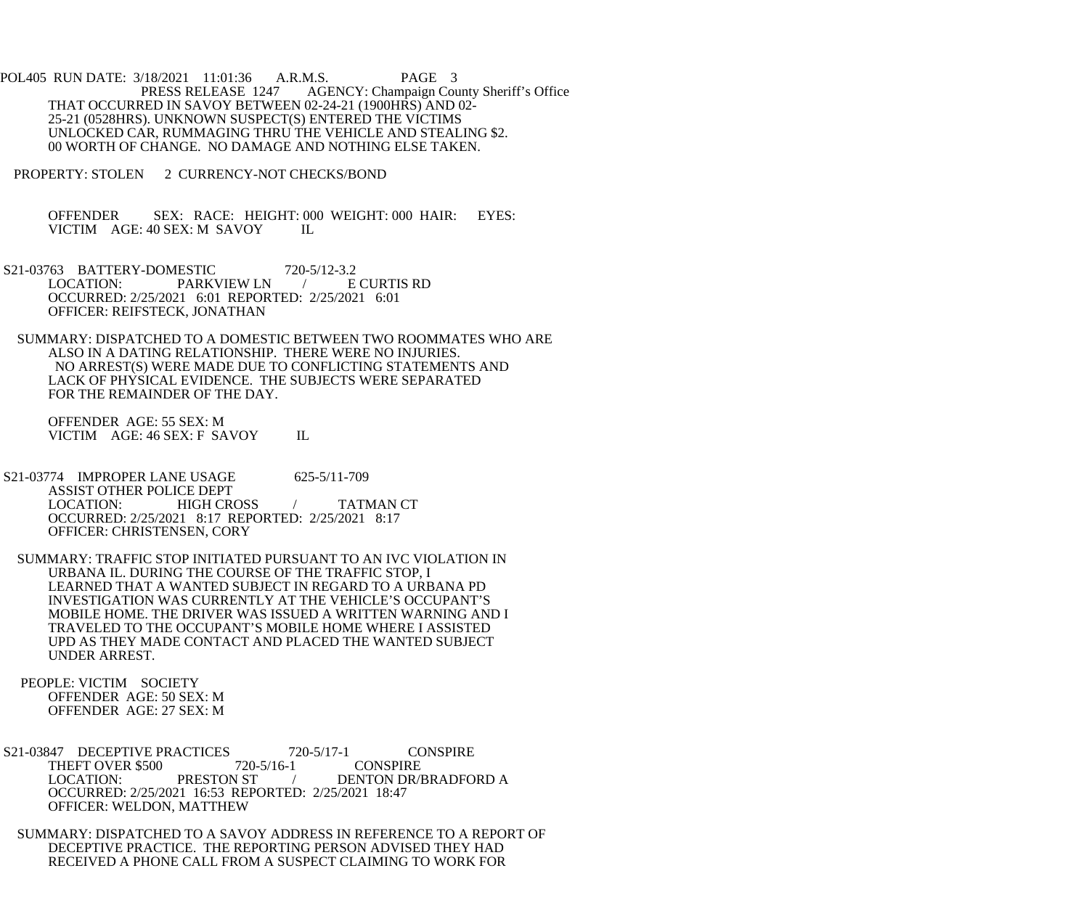POL405 RUN DATE: 3/18/2021 11:01:36 A.R.M.S. PAGE 3<br>PRESS RELEASE 1247 AGENCY: Champaign Cou AGENCY: Champaign County Sheriff's Office THAT OCCURRED IN SAVOY BETWEEN 02-24-21 (1900HRS) AND 02- 25-21 (0528HRS). UNKNOWN SUSPECT(S) ENTERED THE VICTIMS UNLOCKED CAR, RUMMAGING THRU THE VEHICLE AND STEALING \$2. 00 WORTH OF CHANGE. NO DAMAGE AND NOTHING ELSE TAKEN.

PROPERTY: STOLEN 2 CURRENCY-NOT CHECKS/BOND

 OFFENDER SEX: RACE: HEIGHT: 000 WEIGHT: 000 HAIR: EYES: VICTIM AGE: 40 SEX: M SAVOY IL

S21-03763 BATTERY-DOMESTIC 720-5/12-3.2<br>LOCATION: PARKVIEW LN / E CURTIS RD LOCATION: PARKVIEW LN / OCCURRED: 2/25/2021 6:01 REPORTED: 2/25/2021 6:01 OFFICER: REIFSTECK, JONATHAN

 SUMMARY: DISPATCHED TO A DOMESTIC BETWEEN TWO ROOMMATES WHO ARE ALSO IN A DATING RELATIONSHIP. THERE WERE NO INJURIES. NO ARREST(S) WERE MADE DUE TO CONFLICTING STATEMENTS AND LACK OF PHYSICAL EVIDENCE. THE SUBJECTS WERE SEPARATED FOR THE REMAINDER OF THE DAY.

 OFFENDER AGE: 55 SEX: M VICTIM AGE: 46 SEX: F SAVOY IL

S21-03774 IMPROPER LANE USAGE 625-5/11-709 ASSIST OTHER POLICE DEPT<br>LOCATION: HIGH CROSS LOCATION: HIGH CROSS / TATMAN CT OCCURRED: 2/25/2021 8:17 REPORTED: 2/25/2021 8:17 OFFICER: CHRISTENSEN, CORY

 SUMMARY: TRAFFIC STOP INITIATED PURSUANT TO AN IVC VIOLATION IN URBANA IL. DURING THE COURSE OF THE TRAFFIC STOP, I LEARNED THAT A WANTED SUBJECT IN REGARD TO A URBANA PD INVESTIGATION WAS CURRENTLY AT THE VEHICLE'S OCCUPANT'S MOBILE HOME. THE DRIVER WAS ISSUED A WRITTEN WARNING AND I TRAVELED TO THE OCCUPANT'S MOBILE HOME WHERE I ASSISTED UPD AS THEY MADE CONTACT AND PLACED THE WANTED SUBJECT UNDER ARREST.

 PEOPLE: VICTIM SOCIETY OFFENDER AGE: 50 SEX: M OFFENDER AGE: 27 SEX: M

S21-03847 DECEPTIVE PRACTICES 720-5/17-1 CONSPIRE<br>THEFT OVER \$500 720-5/16-1 CONSPIRE THEFT OVER \$500 720-<br>LOCATION: PRESTON ST / DENTON DR/BRADFORD A OCCURRED: 2/25/2021 16:53 REPORTED: 2/25/2021 18:47 OFFICER: WELDON, MATTHEW

 SUMMARY: DISPATCHED TO A SAVOY ADDRESS IN REFERENCE TO A REPORT OF DECEPTIVE PRACTICE. THE REPORTING PERSON ADVISED THEY HAD RECEIVED A PHONE CALL FROM A SUSPECT CLAIMING TO WORK FOR